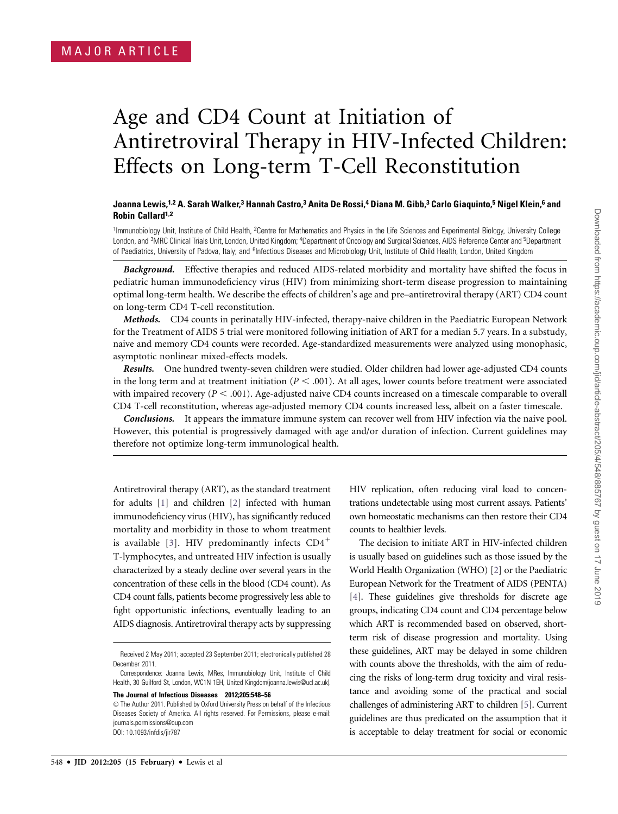# Age and CD4 Count at Initiation of Antiretroviral Therapy in HIV-Infected Children: Effects on Long-term T-Cell Reconstitution

# Joanna Lewis,<sup>1,2</sup> A. Sarah Walker,<sup>3</sup> Hannah Castro,<sup>3</sup> Anita De Rossi,<sup>4</sup> Diana M. Gibb,<sup>3</sup> Carlo Giaquinto,<sup>5</sup> Nigel Klein,<sup>6</sup> and Robin Callard<sup>1,2</sup>

<sup>1</sup>Immunobiology Unit, Institute of Child Health, <sup>2</sup>Centre for Mathematics and Physics in the Life Sciences and Experimental Biology, University College London, and <sup>3</sup>MRC Clinical Trials Unit, London, United Kingdom; <sup>4</sup>Department of Oncology and Surgical Sciences, AIDS Reference Center and <sup>5</sup>Department of Paediatrics, University of Padova, Italy; and <sup>6</sup>Infectious Diseases and Microbiology Unit, Institute of Child Health, London, United Kingdom

**Background.** Effective therapies and reduced AIDS-related morbidity and mortality have shifted the focus in pediatric human immunodeficiency virus (HIV) from minimizing short-term disease progression to maintaining optimal long-term health. We describe the effects of children's age and pre–antiretroviral therapy (ART) CD4 count on long-term CD4 T-cell reconstitution.

Methods. CD4 counts in perinatally HIV-infected, therapy-naive children in the Paediatric European Network for the Treatment of AIDS 5 trial were monitored following initiation of ART for a median 5.7 years. In a substudy, naive and memory CD4 counts were recorded. Age-standardized measurements were analyzed using monophasic, asymptotic nonlinear mixed-effects models.

Results. One hundred twenty-seven children were studied. Older children had lower age-adjusted CD4 counts in the long term and at treatment initiation ( $P < .001$ ). At all ages, lower counts before treatment were associated with impaired recovery ( $P < .001$ ). Age-adjusted naive CD4 counts increased on a timescale comparable to overall CD4 T-cell reconstitution, whereas age-adjusted memory CD4 counts increased less, albeit on a faster timescale.

Conclusions. It appears the immature immune system can recover well from HIV infection via the naive pool. However, this potential is progressively damaged with age and/or duration of infection. Current guidelines may therefore not optimize long-term immunological health.

Antiretroviral therapy (ART), as the standard treatment for adults [\[1\]](#page-7-0) and children [[2](#page-7-0)] infected with human immunodeficiency virus (HIV), has significantly reduced mortality and morbidity in those to whom treatment is available [[3](#page-7-0)]. HIV predominantly infects  $CD4^+$ T-lymphocytes, and untreated HIV infection is usually characterized by a steady decline over several years in the concentration of these cells in the blood (CD4 count). As CD4 count falls, patients become progressively less able to fight opportunistic infections, eventually leading to an AIDS diagnosis. Antiretroviral therapy acts by suppressing

The Journal of Infectious Diseases 2012;205:548–56

HIV replication, often reducing viral load to concentrations undetectable using most current assays. Patients' own homeostatic mechanisms can then restore their CD4 counts to healthier levels.

The decision to initiate ART in HIV-infected children is usually based on guidelines such as those issued by the World Health Organization (WHO) [[2\]](#page-7-0) or the Paediatric European Network for the Treatment of AIDS (PENTA) [\[4\]](#page-7-0). These guidelines give thresholds for discrete age groups, indicating CD4 count and CD4 percentage below which ART is recommended based on observed, shortterm risk of disease progression and mortality. Using these guidelines, ART may be delayed in some children with counts above the thresholds, with the aim of reducing the risks of long-term drug toxicity and viral resistance and avoiding some of the practical and social challenges of administering ART to children [[5\]](#page-7-0). Current guidelines are thus predicated on the assumption that it is acceptable to delay treatment for social or economic

Received 2 May 2011; accepted 23 September 2011; electronically published 28 December 2011.

Correspondence: Joanna Lewis, MRes, Immunobiology Unit, Institute of Child Health, 30 Guilford St, London, WC1N 1EH, United Kingdom(joanna.lewis@ucl.ac.uk).

The Author 2011. Published by Oxford University Press on behalf of the Infectious Diseases Society of America. All rights reserved. For Permissions, please e-mail: journals.permissions@oup.com DOI: 10.1093/infdis/jir787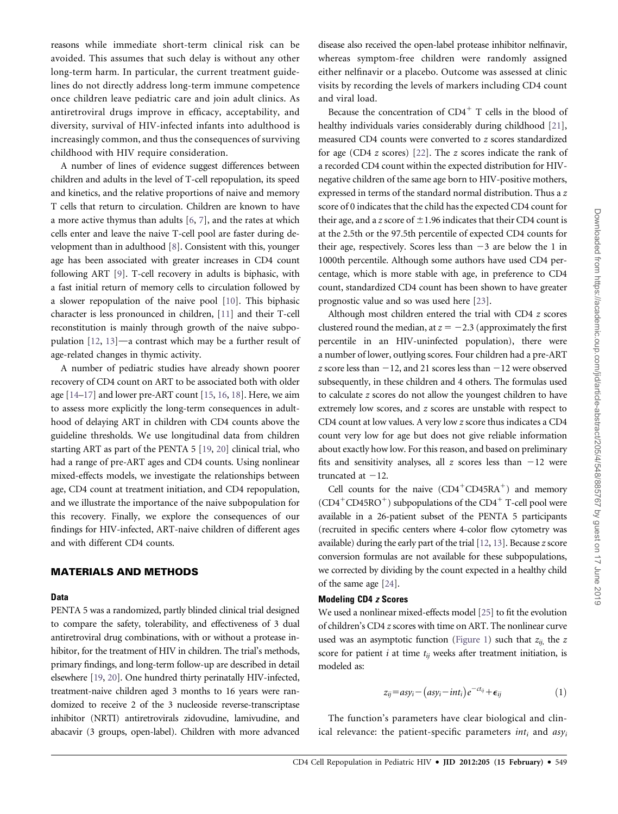reasons while immediate short-term clinical risk can be avoided. This assumes that such delay is without any other long-term harm. In particular, the current treatment guidelines do not directly address long-term immune competence once children leave pediatric care and join adult clinics. As antiretroviral drugs improve in efficacy, acceptability, and diversity, survival of HIV-infected infants into adulthood is increasingly common, and thus the consequences of surviving childhood with HIV require consideration.

A number of lines of evidence suggest differences between children and adults in the level of T-cell repopulation, its speed and kinetics, and the relative proportions of naive and memory T cells that return to circulation. Children are known to have a more active thymus than adults [[6](#page-7-0), [7\]](#page-7-0), and the rates at which cells enter and leave the naive T-cell pool are faster during development than in adulthood [\[8\]](#page-7-0). Consistent with this, younger age has been associated with greater increases in CD4 count following ART [[9](#page-7-0)]. T-cell recovery in adults is biphasic, with a fast initial return of memory cells to circulation followed by a slower repopulation of the naive pool [\[10\]](#page-7-0). This biphasic character is less pronounced in children, [\[11](#page-7-0)] and their T-cell reconstitution is mainly through growth of the naive subpopulation  $[12, 13]$  $[12, 13]$  $[12, 13]$  $[12, 13]$  - a contrast which may be a further result of age-related changes in thymic activity.

A number of pediatric studies have already shown poorer recovery of CD4 count on ART to be associated both with older age [[14–](#page-7-0)[17](#page-8-0)] and lower pre-ART count [\[15,](#page-8-0) [16](#page-8-0), [18](#page-8-0)]. Here, we aim to assess more explicitly the long-term consequences in adulthood of delaying ART in children with CD4 counts above the guideline thresholds. We use longitudinal data from children starting ART as part of the PENTA 5 [\[19](#page-8-0), [20\]](#page-8-0) clinical trial, who had a range of pre-ART ages and CD4 counts. Using nonlinear mixed-effects models, we investigate the relationships between age, CD4 count at treatment initiation, and CD4 repopulation, and we illustrate the importance of the naive subpopulation for this recovery. Finally, we explore the consequences of our findings for HIV-infected, ART-naive children of different ages and with different CD4 counts.

# MATERIALS AND METHODS

# Data

PENTA 5 was a randomized, partly blinded clinical trial designed to compare the safety, tolerability, and effectiveness of 3 dual antiretroviral drug combinations, with or without a protease inhibitor, for the treatment of HIV in children. The trial's methods, primary findings, and long-term follow-up are described in detail elsewhere [\[19,](#page-8-0) [20](#page-8-0)]. One hundred thirty perinatally HIV-infected, treatment-naive children aged 3 months to 16 years were randomized to receive 2 of the 3 nucleoside reverse-transcriptase inhibitor (NRTI) antiretrovirals zidovudine, lamivudine, and abacavir (3 groups, open-label). Children with more advanced

disease also received the open-label protease inhibitor nelfinavir, whereas symptom-free children were randomly assigned either nelfinavir or a placebo. Outcome was assessed at clinic visits by recording the levels of markers including CD4 count and viral load.

Because the concentration of  $CD4^+$  T cells in the blood of healthy individuals varies considerably during childhood [\[21](#page-8-0)], measured CD4 counts were converted to z scores standardized for age (CD4 z scores) [\[22\]](#page-8-0). The z scores indicate the rank of a recorded CD4 count within the expected distribution for HIVnegative children of the same age born to HIV-positive mothers, expressed in terms of the standard normal distribution. Thus a z score of 0 indicates that the child has the expected CD4 count for their age, and a z score of  $\pm 1.96$  indicates that their CD4 count is at the 2.5th or the 97.5th percentile of expected CD4 counts for their age, respectively. Scores less than  $-3$  are below the 1 in 1000th percentile. Although some authors have used CD4 percentage, which is more stable with age, in preference to CD4 count, standardized CD4 count has been shown to have greater prognostic value and so was used here [[23\]](#page-8-0).

Although most children entered the trial with CD4 z scores clustered round the median, at  $z = -2.3$  (approximately the first percentile in an HIV-uninfected population), there were a number of lower, outlying scores. Four children had a pre-ART z score less than  $-12$ , and 21 scores less than  $-12$  were observed subsequently, in these children and 4 others. The formulas used to calculate z scores do not allow the youngest children to have extremely low scores, and z scores are unstable with respect to CD4 count at low values. A very low z score thus indicates a CD4 count very low for age but does not give reliable information about exactly how low. For this reason, and based on preliminary fits and sensitivity analyses, all  $z$  scores less than  $-12$  were truncated at  $-12$ .

Cell counts for the naive  $(CD4+CD45RA+)$  and memory  $(CD4+CD45RO+$ ) subpopulations of the  $CD4+TC$ -cell pool were available in a 26-patient subset of the PENTA 5 participants (recruited in specific centers where 4-color flow cytometry was available) during the early part of the trial  $[12, 13]$  $[12, 13]$  $[12, 13]$ . Because  $z$  score conversion formulas are not available for these subpopulations, we corrected by dividing by the count expected in a healthy child of the same age [\[24\]](#page-8-0).

# Modeling CD4 z Scores

We used a nonlinear mixed-effects model [[25](#page-8-0)] to fit the evolution of children's CD4 z scores with time on ART. The nonlinear curve used was an asymptotic function ([Figure 1](#page-2-0)) such that  $z_{ii}$  the z score for patient  $i$  at time  $t_{ii}$  weeks after treatment initiation, is modeled as:

$$
z_{ij} = asy_i - (asy_i - int_i)e^{-ct_{ij}} + \epsilon_{ij}
$$
 (1)

The function's parameters have clear biological and clinical relevance: the patient-specific parameters  $int_i$  and  $asy_i$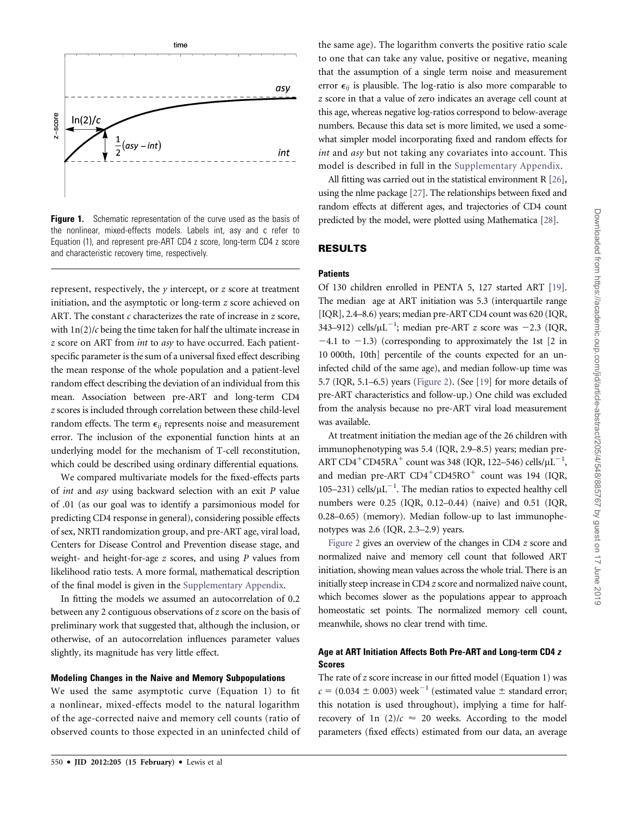<span id="page-2-0"></span>

**Figure 1.** Schematic representation of the curve used as the basis of the nonlinear, mixed-effects models. Labels int, asy and c refer to Equation (1), and represent pre-ART CD4 z score, long-term CD4 z score and characteristic recovery time, respectively.

represent, respectively, the  $y$  intercept, or  $z$  score at treatment initiation, and the asymptotic or long-term z score achieved on ART. The constant  $c$  characterizes the rate of increase in  $z$  score, with  $\ln(2)/c$  being the time taken for half the ultimate increase in z score on ART from int to asy to have occurred. Each patientspecific parameter is the sum of a universal fixed effect describing the mean response of the whole population and a patient-level random effect describing the deviation of an individual from this mean. Association between pre-ART and long-term CD4 z scores is included through correlation between these child-level random effects. The term  $\epsilon_{ii}$  represents noise and measurement error. The inclusion of the exponential function hints at an underlying model for the mechanism of T-cell reconstitution, which could be described using ordinary differential equations.

We compared multivariate models for the fixed-effects parts of int and asy using backward selection with an exit P value of .01 (as our goal was to identify a parsimonious model for predicting CD4 response in general), considering possible effects of sex, NRTI randomization group, and pre-ART age, viral load, Centers for Disease Control and Prevention disease stage, and weight- and height-for-age z scores, and using P values from likelihood ratio tests. A more formal, mathematical description of the final model is given in the [Supplementary Appendix](http://jid.oxfordjournals.org/lookup/suppl/doi:10.1093/infdis/jir789/-/DC1).

In fitting the models we assumed an autocorrelation of 0.2 between any 2 contiguous observations of z score on the basis of preliminary work that suggested that, although the inclusion, or otherwise, of an autocorrelation influences parameter values slightly, its magnitude has very little effect.

### Modeling Changes in the Naive and Memory Subpopulations

We used the same asymptotic curve (Equation 1) to fit a nonlinear, mixed-effects model to the natural logarithm of the age-corrected naive and memory cell counts (ratio of observed counts to those expected in an uninfected child of

the same age). The logarithm converts the positive ratio scale to one that can take any value, positive or negative, meaning that the assumption of a single term noise and measurement error  $\epsilon_{ii}$  is plausible. The log-ratio is also more comparable to z score in that a value of zero indicates an average cell count at this age, whereas negative log-ratios correspond to below-average numbers. Because this data set is more limited, we used a somewhat simpler model incorporating fixed and random effects for int and asy but not taking any covariates into account. This model is described in full in the [Supplementary Appendix.](http://jid.oxfordjournals.org/lookup/suppl/doi:10.1093/infdis/jir789/-/DC1)

All fitting was carried out in the statistical environment R [[26](#page-8-0)], using the nlme package [\[27\]](#page-8-0). The relationships between fixed and random effects at different ages, and trajectories of CD4 count predicted by the model, were plotted using Mathematica [[28](#page-8-0)].

## RESULTS

## **Patients**

Of 130 children enrolled in PENTA 5, 127 started ART [[19](#page-8-0)]. The median age at ART initiation was 5.3 (interquartile range [IQR], 2.4–8.6) years; median pre-ART CD4 count was 620 (IQR, 343–912) cells/ $\mu L^{-1}$ ; median pre-ART z score was -2.3 (IQR,  $-4.1$  to  $-1.3$ ) (corresponding to approximately the 1st [2 in 10 000th, 10th] percentile of the counts expected for an uninfected child of the same age), and median follow-up time was 5.7 (IQR, 5.1–6.5) years ([Figure 2](#page-3-0)). (See [\[19\]](#page-8-0) for more details of pre-ART characteristics and follow-up.) One child was excluded from the analysis because no pre-ART viral load measurement was available.

At treatment initiation the median age of the 26 children with immunophenotyping was 5.4 (IQR, 2.9–8.5) years; median pre-ART CD4<sup>+</sup>CD45RA<sup>+</sup> count was 348 (IQR, 122–546) cells/ $\mu$ L<sup>-1</sup>, and median pre-ART  $CD4^+CD45RO^+$  count was 194 (IQR, 105–231) cells/ $\mu$ L<sup>-1</sup>. The median ratios to expected healthy cell numbers were 0.25 (IQR, 0.12–0.44) (naive) and 0.51 (IQR, 0.28–0.65) (memory). Median follow-up to last immunophenotypes was 2.6 (IQR, 2.3–2.9) years.

[Figure 2](#page-3-0) gives an overview of the changes in CD4 z score and normalized naive and memory cell count that followed ART initiation, showing mean values across the whole trial. There is an initially steep increase in CD4 z score and normalized naive count, which becomes slower as the populations appear to approach homeostatic set points. The normalized memory cell count, meanwhile, shows no clear trend with time.

# Age at ART Initiation Affects Both Pre-ART and Long-term CD4 z Scores

The rate of z score increase in our fitted model (Equation 1) was  $c = (0.034 \pm 0.003)$  week<sup>-1</sup> (estimated value  $\pm$  standard error; this notation is used throughout), implying a time for halfrecovery of 1n  $(2)/c \approx 20$  weeks. According to the model parameters (fixed effects) estimated from our data, an average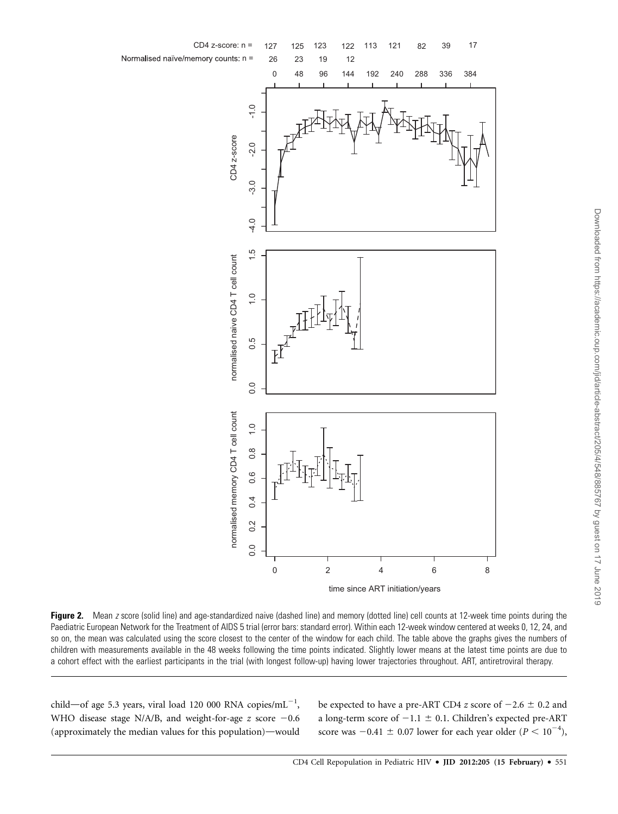<span id="page-3-0"></span>

Downloaded from https://academic.oup.com/jid/article-abstract/205/4/548/885767 by guest on 17 June 2019 Downloaded from https://academic.oup.com/jid/article-abstract/205/4/548/885767 by guest on 17 June 2019

Figure 2. Mean z score (solid line) and age-standardized naive (dashed line) and memory (dotted line) cell counts at 12-week time points during the Paediatric European Network for the Treatment of AIDS 5 trial (error bars: standard error). Within each 12-week window centered at weeks 0, 12, 24, and so on, the mean was calculated using the score closest to the center of the window for each child. The table above the graphs gives the numbers of children with measurements available in the 48 weeks following the time points indicated. Slightly lower means at the latest time points are due to a cohort effect with the earliest participants in the trial (with longest follow-up) having lower trajectories throughout. ART, antiretroviral therapy.

child—of age 5.3 years, viral load 120 000 RNA copies/ $mL^{-1}$ , WHO disease stage N/A/B, and weight-for-age z score  $-0.6$ (approximately the median values for this population)—would

be expected to have a pre-ART CD4 z score of  $-2.6 \pm 0.2$  and a long-term score of  $-1.1 \pm 0.1$ . Children's expected pre-ART score was  $-0.41 \pm 0.07$  lower for each year older  $(P < 10^{-4})$ ,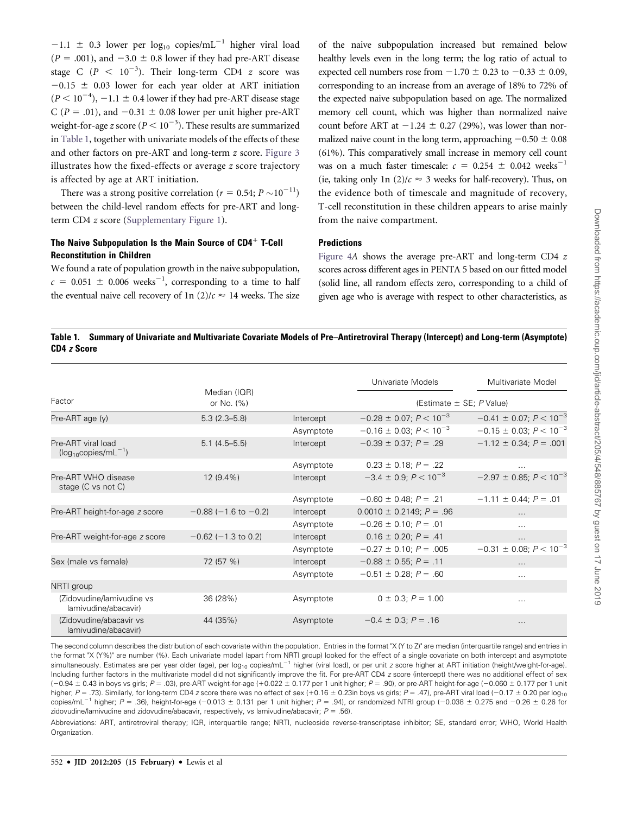$-1.1 \pm 0.3$  lower per log<sub>10</sub> copies/mL<sup>-1</sup> higher viral load  $(P = .001)$ , and  $-3.0 \pm 0.8$  lower if they had pre-ART disease stage C ( $P < 10^{-3}$ ). Their long-term CD4 z score was  $-0.15 \pm 0.03$  lower for each year older at ART initiation  $(P < 10^{-4})$ ,  $-1.1 \pm 0.4$  lower if they had pre-ART disease stage C ( $P = .01$ ), and  $-0.31 \pm 0.08$  lower per unit higher pre-ART weight-for-age z score ( $P$   $<$   $10^{-3}$ ). These results are summarized in Table 1, together with univariate models of the effects of these and other factors on pre-ART and long-term z score. [Figure 3](#page-5-0) illustrates how the fixed-effects or average z score trajectory is affected by age at ART initiation.

There was a strong positive correlation ( $r = 0.54$ ;  $P \sim 10^{-11}$ ) between the child-level random effects for pre-ART and longterm CD4 z score [\(Supplementary Figure 1\)](http://jid.oxfordjournals.org/lookup/suppl/doi:10.1093/infdis/jir789/-/DC1).

# The Naive Subpopulation Is the Main Source of  $CD4<sup>+</sup>$  T-Cell Reconstitution in Children

We found a rate of population growth in the naive subpopulation,  $c = 0.051 \pm 0.006$  weeks<sup>-1</sup>, corresponding to a time to half the eventual naive cell recovery of 1n  $(2)/c \approx 14$  weeks. The size

of the naive subpopulation increased but remained below healthy levels even in the long term; the log ratio of actual to expected cell numbers rose from  $-1.70 \pm 0.23$  to  $-0.33 \pm 0.09$ , corresponding to an increase from an average of 18% to 72% of the expected naive subpopulation based on age. The normalized memory cell count, which was higher than normalized naive count before ART at  $-1.24 \pm 0.27$  (29%), was lower than normalized naive count in the long term, approaching  $-0.50 \pm 0.08$ (61%). This comparatively small increase in memory cell count was on a much faster timescale:  $c = 0.254 \pm 0.042$  weeks<sup>-1</sup> (ie, taking only 1n  $(2)/c \approx 3$  weeks for half-recovery). Thus, on the evidence both of timescale and magnitude of recovery, T-cell reconstitution in these children appears to arise mainly from the naive compartment.

#### **Predictions**

[Figure 4](#page-5-0)A shows the average pre-ART and long-term CD4 z scores across different ages in PENTA 5 based on our fitted model (solid line, all random effects zero, corresponding to a child of given age who is average with respect to other characteristics, as

# Table 1. Summary of Univariate and Multivariate Covariate Models of Pre–Antiretroviral Therapy (Intercept) and Long-term (Asymptote) CD4 z Score

| Factor                                            | Median (IQR)<br>or No. (%)   |           | Univariate Models                | Multivariate Model               |
|---------------------------------------------------|------------------------------|-----------|----------------------------------|----------------------------------|
|                                                   |                              |           | (Estimate $\pm$ SE; P Value)     |                                  |
| Pre-ART age (y)                                   | $5.3(2.3 - 5.8)$             | Intercept | $-0.28 \pm 0.07$ ; $P < 10^{-3}$ | $-0.41 \pm 0.07$ ; $P < 10^{-3}$ |
|                                                   |                              | Asymptote | $-0.16 \pm 0.03$ ; $P < 10^{-3}$ | $-0.15 \pm 0.03$ ; $P < 10^{-3}$ |
| Pre-ART viral load<br>$(log_{10} copies/mL^{-1})$ | $5.1(4.5 - 5.5)$             | Intercept | $-0.39 \pm 0.37$ ; $P = .29$     | $-1.12 \pm 0.34$ ; $P = .001$    |
|                                                   |                              | Asymptote | $0.23 \pm 0.18$ ; $P = .22$      |                                  |
| Pre-ART WHO disease<br>stage (C vs not C)         | $12(9.4\%)$                  | Intercept | $-3.4 \pm 0.9$ ; $P < 10^{-3}$   | $-2.97 \pm 0.85$ ; $P < 10^{-3}$ |
|                                                   |                              | Asymptote | $-0.60 \pm 0.48$ ; $P = .21$     | $-1.11 \pm 0.44$ ; $P = .01$     |
| Pre-ART height-for-age z score                    | $-0.88$ ( $-1.6$ to $-0.2$ ) | Intercept | $0.0010 \pm 0.2149$ ; $P = .96$  | $\cdots$                         |
|                                                   |                              | Asymptote | $-0.26 \pm 0.10$ ; $P = .01$     | $\cdots$                         |
| Pre-ART weight-for-age z score                    | $-0.62$ ( $-1.3$ to 0.2)     | Intercept | $0.16 \pm 0.20$ ; $P = .41$      | $\cdots$                         |
|                                                   |                              | Asymptote | $-0.27 \pm 0.10$ ; $P = .005$    | $-0.31 \pm 0.08$ ; $P < 10^{-3}$ |
| Sex (male vs female)                              | 72 (57 %)                    | Intercept | $-0.88 \pm 0.55$ ; $P = .11$     | $\cdots$                         |
|                                                   |                              | Asymptote | $-0.51 \pm 0.28$ ; $P = .60$     | $\cdots$                         |
| NRTI group                                        |                              |           |                                  |                                  |
| (Zidovudine/lamivudine vs<br>lamivudine/abacavir) | 36 (28%)                     | Asymptote | $0 \pm 0.3$ ; $P = 1.00$         | $\cdots$                         |
| (Zidovudine/abacavir vs<br>lamivudine/abacavir)   | 44 (35%)                     | Asymptote | $-0.4 \pm 0.3$ ; $P = .16$       | $\cdots$                         |

The second column describes the distribution of each covariate within the population. Entries in the format "X (Y to Z)" are median (interquartile range) and entries in the format "X (Y%)" are number (%). Each univariate model (apart from NRTI group) looked for the effect of a single covariate on both intercept and asymptote simultaneously. Estimates are per year older (age), per log<sub>10</sub> copies/mL<sup>-1</sup> higher (viral load), or per unit z score higher at ART initiation (height/weight-for-age). Including further factors in the multivariate model did not significantly improve the fit. For pre-ART CD4 z score (intercept) there was no additional effect of sex  $(-0.94 \pm 0.43$  in boys vs girls;  $P = .03$ ), pre-ART weight-for-age  $(+0.022 \pm 0.177$  per 1 unit higher;  $P = .90$ ), or pre-ART height-for-age  $(-0.060 \pm 0.177$  per 1 unit higher; P = .73). Similarly, for long-term CD4 z score there was no effect of sex (+0.16  $\pm$  0.23in boys vs girls; P = .47), pre-ART viral load (-0.17  $\pm$  0.20 per log<sub>10</sub> copies/mL<sup>-1</sup> higher; P = .36), height-for-age (-0.013 ± 0.131 per 1 unit higher; P = .94), or randomized NTRI group (-0.038 ± 0.275 and -0.26 ± 0.26 for zidovudine/lamivudine and zidovudine/abacavir, respectively, vs lamivudine/abacavir;  $P = .56$ ).

Abbreviations: ART, antiretroviral therapy; IQR, interquartile range; NRTI, nucleoside reverse-transcriptase inhibitor; SE, standard error; WHO, World Health Organization.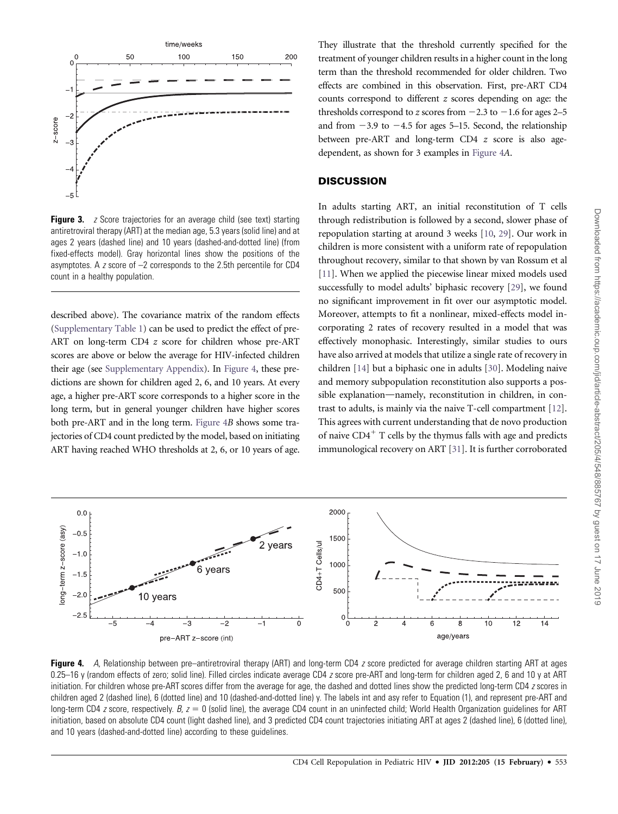<span id="page-5-0"></span>

**Figure 3.** *z* Score trajectories for an average child (see text) starting antiretroviral therapy (ART) at the median age, 5.3 years (solid line) and at ages 2 years (dashed line) and 10 years (dashed-and-dotted line) (from fixed-effects model). Gray horizontal lines show the positions of the asymptotes. A z score of –2 corresponds to the 2.5th percentile for CD4 count in a healthy population.

described above). The covariance matrix of the random effects [\(Supplementary Table 1](http://jid.oxfordjournals.org/lookup/suppl/doi:10.1093/infdis/jir789/-/DC1)) can be used to predict the effect of pre-ART on long-term CD4 z score for children whose pre-ART scores are above or below the average for HIV-infected children their age (see [Supplementary Appendix\)](http://jid.oxfordjournals.org/lookup/suppl/doi:10.1093/infdis/jir789/-/DC1). In Figure 4, these predictions are shown for children aged 2, 6, and 10 years. At every age, a higher pre-ART score corresponds to a higher score in the long term, but in general younger children have higher scores both pre-ART and in the long term. Figure 4B shows some trajectories of CD4 count predicted by the model, based on initiating ART having reached WHO thresholds at 2, 6, or 10 years of age. They illustrate that the threshold currently specified for the treatment of younger children results in a higher count in the long term than the threshold recommended for older children. Two effects are combined in this observation. First, pre-ART CD4 counts correspond to different z scores depending on age: the thresholds correspond to z scores from  $-2.3$  to  $-1.6$  for ages 2–5 and from  $-3.9$  to  $-4.5$  for ages 5–15. Second, the relationship between pre-ART and long-term CD4 z score is also agedependent, as shown for 3 examples in Figure 4A.

### **DISCUSSION**

In adults starting ART, an initial reconstitution of T cells through redistribution is followed by a second, slower phase of repopulation starting at around 3 weeks [\[10](#page-7-0), [29](#page-8-0)]. Our work in children is more consistent with a uniform rate of repopulation throughout recovery, similar to that shown by van Rossum et al [\[11](#page-7-0)]. When we applied the piecewise linear mixed models used successfully to model adults' biphasic recovery [\[29\]](#page-8-0), we found no significant improvement in fit over our asymptotic model. Moreover, attempts to fit a nonlinear, mixed-effects model incorporating 2 rates of recovery resulted in a model that was effectively monophasic. Interestingly, similar studies to ours have also arrived at models that utilize a single rate of recovery in children [\[14\]](#page-7-0) but a biphasic one in adults [\[30](#page-8-0)]. Modeling naive and memory subpopulation reconstitution also supports a possible explanation—namely, reconstitution in children, in contrast to adults, is mainly via the naive T-cell compartment [\[12](#page-7-0)]. This agrees with current understanding that de novo production of naive  $CD4^+$  T cells by the thymus falls with age and predicts immunological recovery on ART [\[31](#page-8-0)]. It is further corroborated



Figure 4. A, Relationship between pre–antiretroviral therapy (ART) and long-term CD4 z score predicted for average children starting ART at ages 0.25–16 y (random effects of zero; solid line). Filled circles indicate average CD4 z score pre-ART and long-term for children aged 2, 6 and 10 y at ART initiation. For children whose pre-ART scores differ from the average for age, the dashed and dotted lines show the predicted long-term CD4 z scores in children aged 2 (dashed line), 6 (dotted line) and 10 (dashed-and-dotted line) y. The labels int and asy refer to Equation (1), and represent pre-ART and long-term CD4 z score, respectively. B,  $z = 0$  (solid line), the average CD4 count in an uninfected child; World Health Organization guidelines for ART initiation, based on absolute CD4 count (light dashed line), and 3 predicted CD4 count trajectories initiating ART at ages 2 (dashed line), 6 (dotted line), and 10 years (dashed-and-dotted line) according to these guidelines.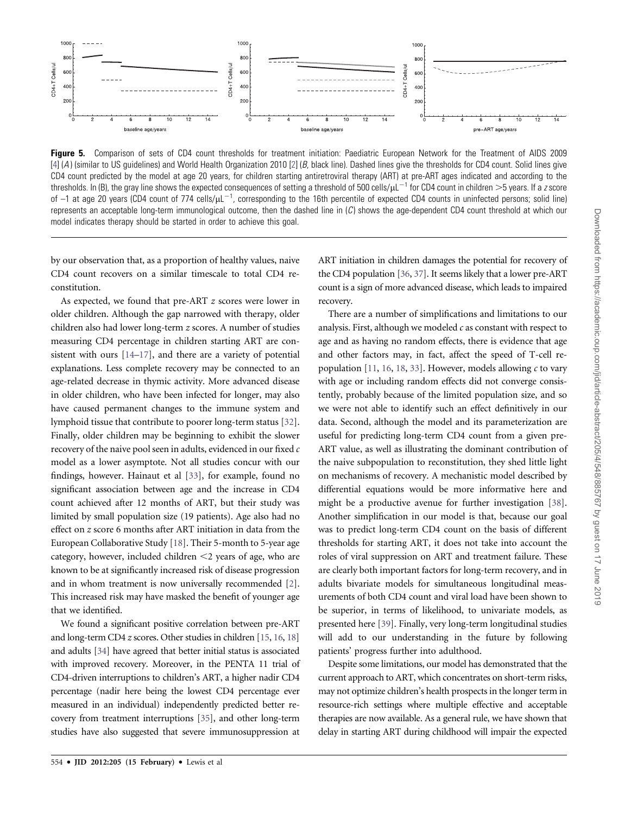<span id="page-6-0"></span>

Figure 5. Comparison of sets of CD4 count thresholds for treatment initiation: Paediatric European Network for the Treatment of AIDS 2009 [[4\]](#page-7-0) (A ) (similar to US guidelines) and World Health Organization 2010 [\[2](#page-7-0)] (B, black line). Dashed lines give the thresholds for CD4 count. Solid lines give CD4 count predicted by the model at age 20 years, for children starting antiretroviral therapy (ART) at pre-ART ages indicated and according to the thresholds. In (B), the gray line shows the expected consequences of setting a threshold of 500 cells/ $\mu$ L $^{-1}$  for CD4 count in children  $>$ 5 years. If a z score of  $-1$  at age 20 years (CD4 count of 774 cells/ $\mu$ L $^{-1}$ , corresponding to the 16th percentile of expected CD4 counts in uninfected persons; solid line) represents an acceptable long-term immunological outcome, then the dashed line in  $(C)$  shows the age-dependent CD4 count threshold at which our model indicates therapy should be started in order to achieve this goal.

by our observation that, as a proportion of healthy values, naive CD4 count recovers on a similar timescale to total CD4 reconstitution.

As expected, we found that pre-ART z scores were lower in older children. Although the gap narrowed with therapy, older children also had lower long-term z scores. A number of studies measuring CD4 percentage in children starting ART are consistent with ours [\[14](#page-7-0)–[17\]](#page-8-0), and there are a variety of potential explanations. Less complete recovery may be connected to an age-related decrease in thymic activity. More advanced disease in older children, who have been infected for longer, may also have caused permanent changes to the immune system and lymphoid tissue that contribute to poorer long-term status [\[32](#page-8-0)]. Finally, older children may be beginning to exhibit the slower recovery of the naive pool seen in adults, evidenced in our fixed c model as a lower asymptote. Not all studies concur with our findings, however. Hainaut et al [\[33](#page-8-0)], for example, found no significant association between age and the increase in CD4 count achieved after 12 months of ART, but their study was limited by small population size (19 patients). Age also had no effect on z score 6 months after ART initiation in data from the European Collaborative Study [[18](#page-8-0)]. Their 5-month to 5-year age category, however, included children  $\leq$  years of age, who are known to be at significantly increased risk of disease progression and in whom treatment is now universally recommended [[2](#page-7-0)]. This increased risk may have masked the benefit of younger age that we identified.

We found a significant positive correlation between pre-ART and long-term CD4  $z$  scores. Other studies in children [\[15,](#page-8-0) [16,](#page-8-0) [18](#page-8-0)] and adults [[34](#page-8-0)] have agreed that better initial status is associated with improved recovery. Moreover, in the PENTA 11 trial of CD4-driven interruptions to children's ART, a higher nadir CD4 percentage (nadir here being the lowest CD4 percentage ever measured in an individual) independently predicted better recovery from treatment interruptions [\[35\]](#page-8-0), and other long-term studies have also suggested that severe immunosuppression at ART initiation in children damages the potential for recovery of the CD4 population [\[36,](#page-8-0) [37\]](#page-8-0). It seems likely that a lower pre-ART count is a sign of more advanced disease, which leads to impaired recovery.

There are a number of simplifications and limitations to our analysis. First, although we modeled  $c$  as constant with respect to age and as having no random effects, there is evidence that age and other factors may, in fact, affect the speed of T-cell re-population [\[11](#page-7-0), [16,](#page-8-0) [18](#page-8-0), [33](#page-8-0)]. However, models allowing  $c$  to vary with age or including random effects did not converge consistently, probably because of the limited population size, and so we were not able to identify such an effect definitively in our data. Second, although the model and its parameterization are useful for predicting long-term CD4 count from a given pre-ART value, as well as illustrating the dominant contribution of the naive subpopulation to reconstitution, they shed little light on mechanisms of recovery. A mechanistic model described by differential equations would be more informative here and might be a productive avenue for further investigation [\[38](#page-8-0)]. Another simplification in our model is that, because our goal was to predict long-term CD4 count on the basis of different thresholds for starting ART, it does not take into account the roles of viral suppression on ART and treatment failure. These are clearly both important factors for long-term recovery, and in adults bivariate models for simultaneous longitudinal measurements of both CD4 count and viral load have been shown to be superior, in terms of likelihood, to univariate models, as presented here [\[39](#page-8-0)]. Finally, very long-term longitudinal studies will add to our understanding in the future by following patients' progress further into adulthood.

Despite some limitations, our model has demonstrated that the current approach to ART, which concentrates on short-term risks, may not optimize children's health prospects in the longer term in resource-rich settings where multiple effective and acceptable therapies are now available. As a general rule, we have shown that delay in starting ART during childhood will impair the expected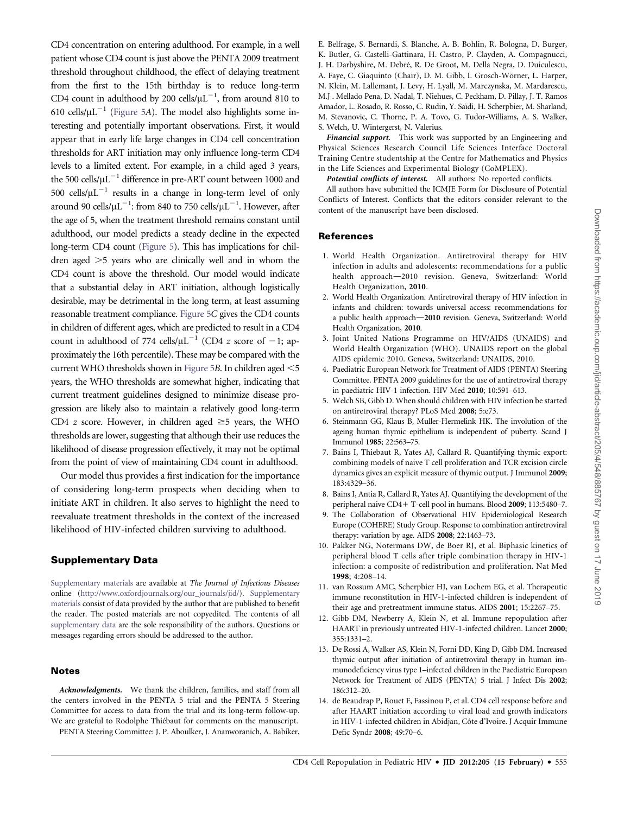<span id="page-7-0"></span>CD4 concentration on entering adulthood. For example, in a well patient whose CD4 count is just above the PENTA 2009 treatment threshold throughout childhood, the effect of delaying treatment from the first to the 15th birthday is to reduce long-term CD4 count in adulthood by 200 cells/ $\mu$ L<sup>-1</sup>, from around 810 to 610 cells/ $\mu$ L<sup>-1</sup> [\(Figure 5](#page-6-0)A). The model also highlights some interesting and potentially important observations. First, it would appear that in early life large changes in CD4 cell concentration thresholds for ART initiation may only influence long-term CD4 levels to a limited extent. For example, in a child aged 3 years, the 500 cells/ $\mu$ L<sup>-1</sup> difference in pre-ART count between 1000 and 500 cells/ $\mu L^{-1}$  results in a change in long-term level of only around 90 cells/ $\mu$ L $^{-1}$ : from 840 to 750 cells/ $\mu$ L $^{-1}$ . However, after the age of 5, when the treatment threshold remains constant until adulthood, our model predicts a steady decline in the expected long-term CD4 count [\(Figure 5\)](#page-6-0). This has implications for children aged  $>5$  years who are clinically well and in whom the CD4 count is above the threshold. Our model would indicate that a substantial delay in ART initiation, although logistically desirable, may be detrimental in the long term, at least assuming reasonable treatment compliance. [Figure 5](#page-6-0)C gives the CD4 counts in children of different ages, which are predicted to result in a CD4 count in adulthood of 774 cells/ $\mu$ L<sup>-1</sup> (CD4 z score of -1; approximately the 16th percentile). These may be compared with the current WHO thresholds shown in [Figure 5](#page-6-0)B. In children aged  $<$  5 years, the WHO thresholds are somewhat higher, indicating that current treatment guidelines designed to minimize disease progression are likely also to maintain a relatively good long-term CD4 *z* score. However, in children aged  $\geq$  5 years, the WHO thresholds are lower, suggesting that although their use reduces the likelihood of disease progression effectively, it may not be optimal from the point of view of maintaining CD4 count in adulthood.

Our model thus provides a first indication for the importance of considering long-term prospects when deciding when to initiate ART in children. It also serves to highlight the need to reevaluate treatment thresholds in the context of the increased likelihood of HIV-infected children surviving to adulthood.

# Supplementary Data

[Supplementary materials](http://jid.oxfordjournals.org/lookup/suppl/doi:10.1093/infdis/jir789/-/DC1) are available at The Journal of Infectious Diseases online [\(http://www.oxfordjournals.org/our\\_journals/jid/\)](http://www.oxfordjournals.org/our_journals/jid/). [Supplementary](http://jid.oxfordjournals.org/lookup/suppl/doi:10.1093/infdis/jir789/-/DC1) [materials](http://jid.oxfordjournals.org/lookup/suppl/doi:10.1093/infdis/jir789/-/DC1) consist of data provided by the author that are published to benefit the reader. The posted materials are not copyedited. The contents of all [supplementary data](http://jid.oxfordjournals.org/lookup/suppl/doi:10.1093/infdis/jir789/-/DC1) are the sole responsibility of the authors. Questions or messages regarding errors should be addressed to the author.

# Notes

Acknowledgments. We thank the children, families, and staff from all the centers involved in the PENTA 5 trial and the PENTA 5 Steering Committee for access to data from the trial and its long-term follow-up. We are grateful to Rodolphe Thiébaut for comments on the manuscript.

PENTA Steering Committee: J. P. Aboulker, J. Ananworanich, A. Babiker,

E. Belfrage, S. Bernardi, S. Blanche, A. B. Bohlin, R. Bologna, D. Burger, K. Butler, G. Castelli-Gattinara, H. Castro, P. Clayden, A. Compagnucci, J. H. Darbyshire, M. Debré, R. De Groot, M. Della Negra, D. Duiculescu, A. Faye, C. Giaquinto (Chair), D. M. Gibb, I. Grosch-Wörner, L. Harper, N. Klein, M. Lallemant, J. Levy, H. Lyall, M. Marczynska, M. Mardarescu, M.J . Mellado Pena, D. Nadal, T. Niehues, C. Peckham, D. Pillay, J. T. Ramos Amador, L. Rosado, R. Rosso, C. Rudin, Y. Saïdi, H. Scherpbier, M. Sharland, M. Stevanovic, C. Thorne, P. A. Tovo, G. Tudor-Williams, A. S. Walker, S. Welch, U. Wintergerst, N. Valerius.

Financial support. This work was supported by an Engineering and Physical Sciences Research Council Life Sciences Interface Doctoral Training Centre studentship at the Centre for Mathematics and Physics in the Life Sciences and Experimental Biology (CoMPLEX).

Potential conflicts of interest. All authors: No reported conflicts.

All authors have submitted the ICMJE Form for Disclosure of Potential Conflicts of Interest. Conflicts that the editors consider relevant to the content of the manuscript have been disclosed.

#### **References**

- 1. World Health Organization. Antiretroviral therapy for HIV infection in adults and adolescents: recommendations for a public health approach-2010 revision. Geneva, Switzerland: World Health Organization, 2010.
- 2. World Health Organization. Antiretroviral therapy of HIV infection in infants and children: towards universal access: recommendations for a public health approach-2010 revision. Geneva, Switzerland: World Health Organization, 2010.
- 3. Joint United Nations Programme on HIV/AIDS (UNAIDS) and World Health Organization (WHO). UNAIDS report on the global AIDS epidemic 2010. Geneva, Switzerland: UNAIDS, 2010.
- 4. Paediatric European Network for Treatment of AIDS (PENTA) Steering Committee. PENTA 2009 guidelines for the use of antiretroviral therapy in paediatric HIV-1 infection. HIV Med 2010; 10:591–613.
- 5. Welch SB, Gibb D. When should children with HIV infection be started on antiretroviral therapy? PLoS Med 2008; 5:e73.
- 6. Steinmann GG, Klaus B, Muller-Hermelink HK. The involution of the ageing human thymic epithelium is independent of puberty. Scand J Immunol 1985; 22:563–75.
- 7. Bains I, Thiebaut R, Yates AJ, Callard R. Quantifying thymic export: combining models of naive T cell proliferation and TCR excision circle dynamics gives an explicit measure of thymic output. J Immunol 2009; 183:4329–36.
- 8. Bains I, Antia R, Callard R, Yates AJ. Quantifying the development of the peripheral naive CD4+ T-cell pool in humans. Blood 2009; 113:5480-7.
- 9. The Collaboration of Observational HIV Epidemiological Research Europe (COHERE) Study Group. Response to combination antiretroviral therapy: variation by age. AIDS 2008; 22:1463–73.
- 10. Pakker NG, Notermans DW, de Boer RJ, et al. Biphasic kinetics of peripheral blood T cells after triple combination therapy in HIV-1 infection: a composite of redistribution and proliferation. Nat Med 1998; 4:208–14.
- 11. van Rossum AMC, Scherpbier HJ, van Lochem EG, et al. Therapeutic immune reconstitution in HIV-1-infected children is independent of their age and pretreatment immune status. AIDS 2001; 15:2267–75.
- 12. Gibb DM, Newberry A, Klein N, et al. Immune repopulation after HAART in previously untreated HIV-1-infected children. Lancet 2000; 355:1331–2.
- 13. De Rossi A, Walker AS, Klein N, Forni DD, King D, Gibb DM. Increased thymic output after initiation of antiretroviral therapy in human immunodeficiency virus type 1–infected children in the Paediatric European Network for Treatment of AIDS (PENTA) 5 trial. J Infect Dis 2002; 186:312–20.
- 14. de Beaudrap P, Rouet F, Fassinou P, et al. CD4 cell response before and after HAART initiation according to viral load and growth indicators in HIV-1-infected children in Abidjan, Côte d'Ivoire. J Acquir Immune Defic Syndr 2008; 49:70–6.